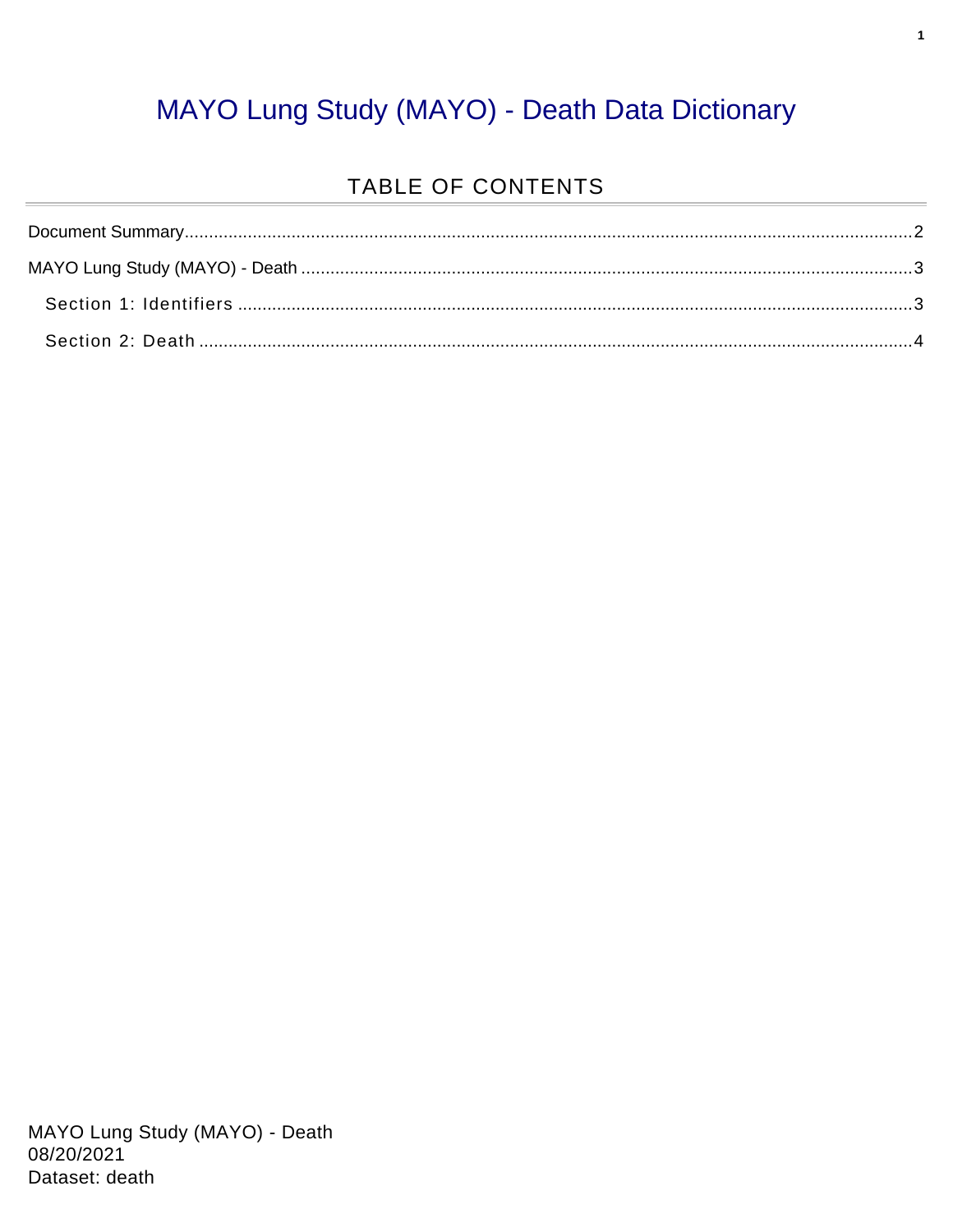#### MAYO Lung Study (MAYO) - Death Data Dictionary

#### TABLE OF CONTENTS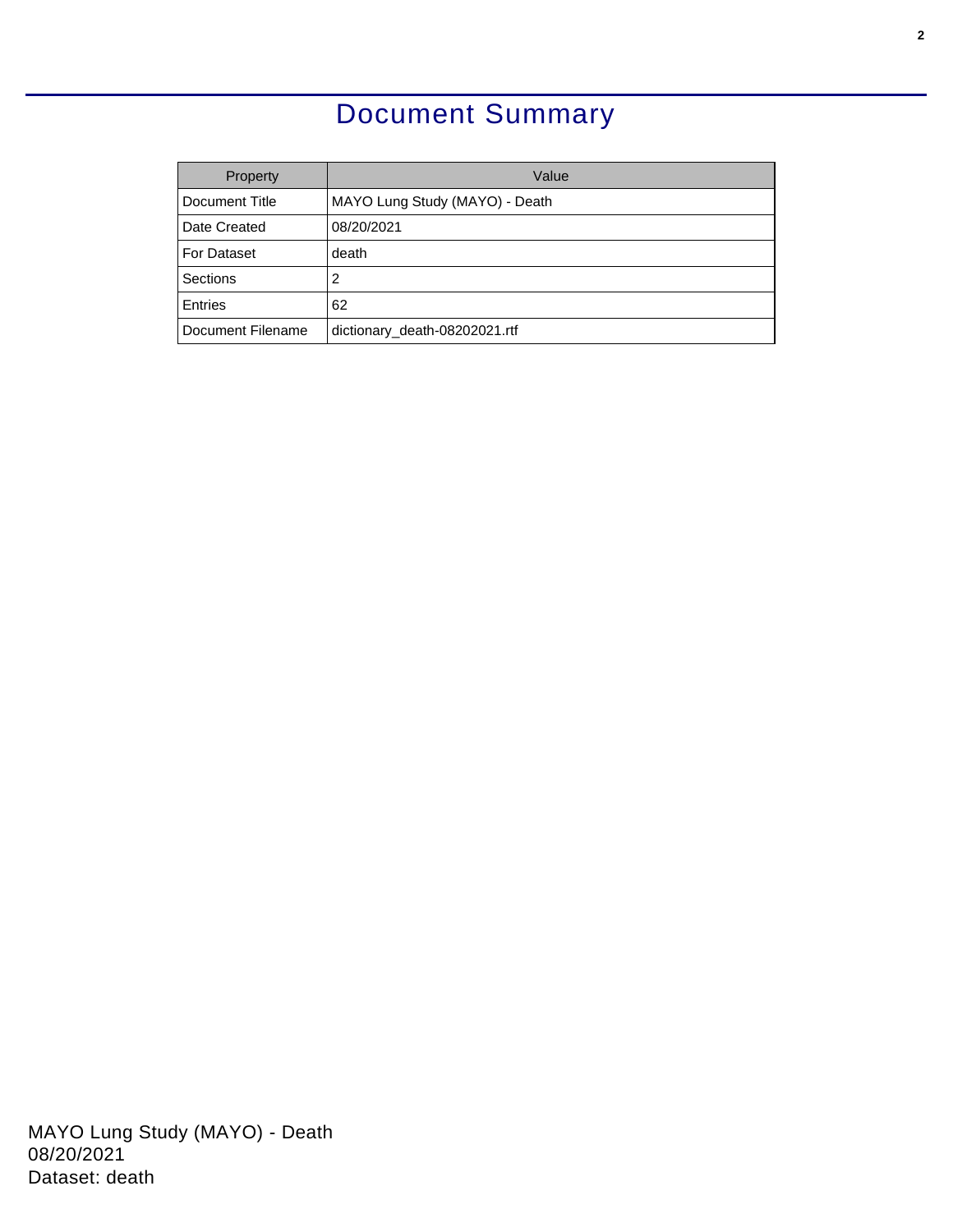### Document Summary

<span id="page-1-0"></span>

| Property           | Value                          |
|--------------------|--------------------------------|
| Document Title     | MAYO Lung Study (MAYO) - Death |
| Date Created       | 08/20/2021                     |
| <b>For Dataset</b> | death                          |
| Sections           | 2                              |
| Entries            | 62                             |
| Document Filename  | dictionary_death-08202021.rtf  |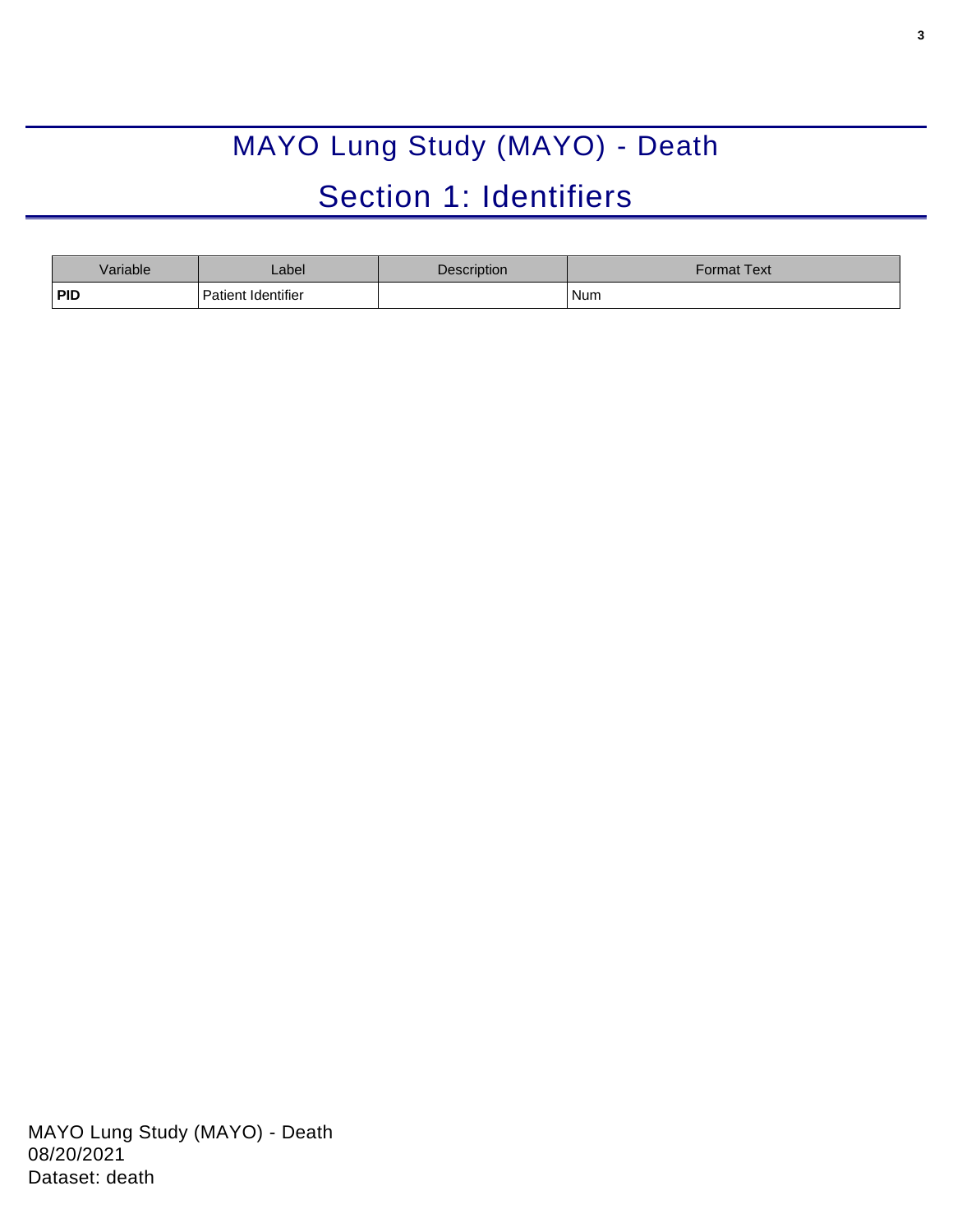# MAYO Lung Study (MAYO) - Death Section 1: Identifiers

<span id="page-2-1"></span><span id="page-2-0"></span>

| Variable   | _abel              | Description | Format Text |
|------------|--------------------|-------------|-------------|
| <b>PID</b> | Patient Identifier |             | Num         |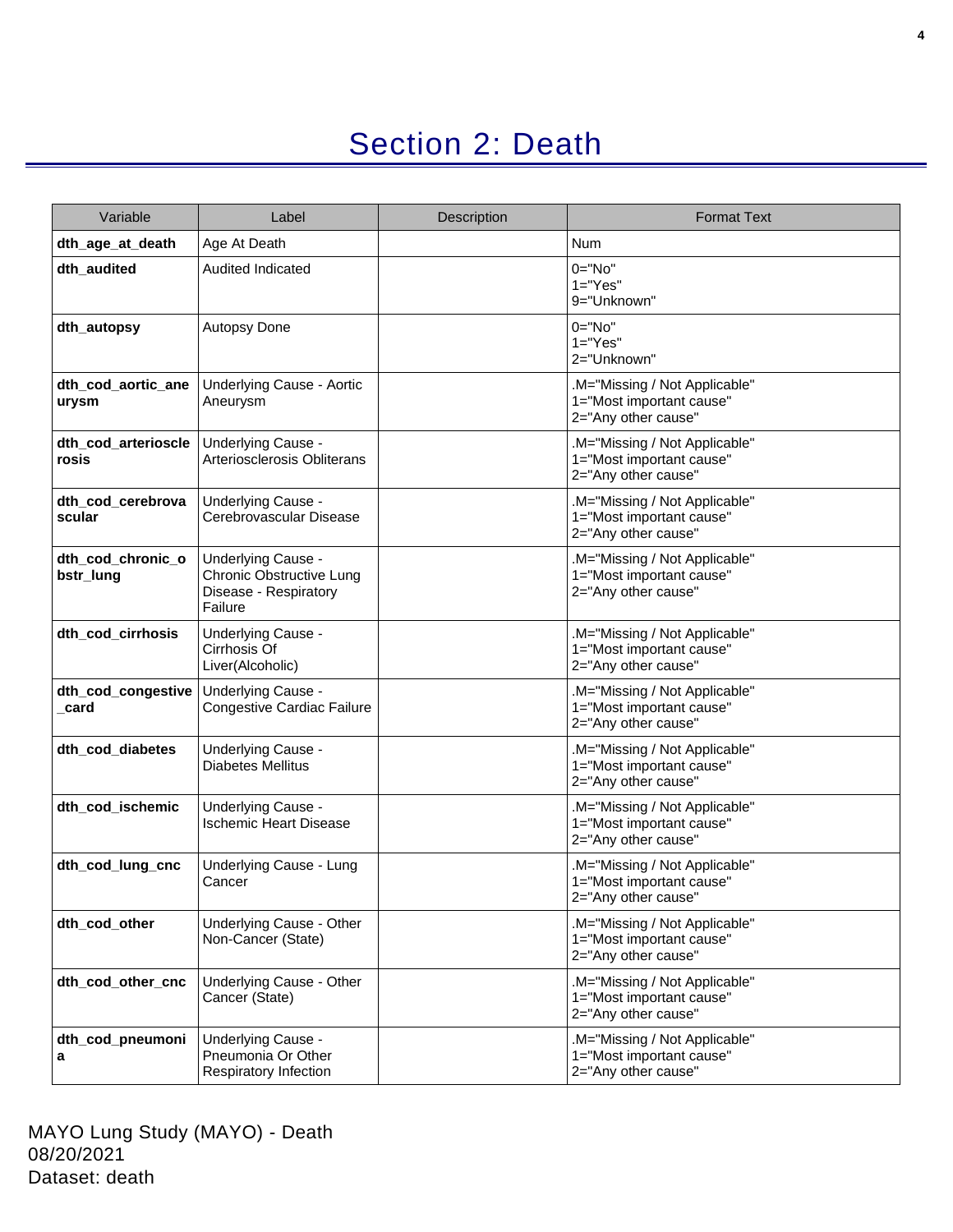## Section 2: Death

<span id="page-3-0"></span>

| Variable                       | Label                                                                              | Description | <b>Format Text</b>                                                               |
|--------------------------------|------------------------------------------------------------------------------------|-------------|----------------------------------------------------------------------------------|
| dth_age_at_death               | Age At Death                                                                       |             | Num                                                                              |
| dth_audited                    | <b>Audited Indicated</b>                                                           |             | $0 = "No"$<br>$1="Yes"$<br>9="Unknown"                                           |
| dth_autopsy                    | Autopsy Done                                                                       |             | $0 = "No"$<br>$1="Yes"$<br>2="Unknown"                                           |
| dth_cod_aortic_ane<br>urysm    | <b>Underlying Cause - Aortic</b><br>Aneurysm                                       |             | .M="Missing / Not Applicable"<br>1="Most important cause"<br>2="Any other cause" |
| dth_cod_arterioscle<br>rosis   | Underlying Cause -<br>Arteriosclerosis Obliterans                                  |             | .M="Missing / Not Applicable"<br>1="Most important cause"<br>2="Any other cause" |
| dth_cod_cerebrova<br>scular    | Underlying Cause -<br>Cerebrovascular Disease                                      |             | .M="Missing / Not Applicable"<br>1="Most important cause"<br>2="Any other cause" |
| dth_cod_chronic_o<br>bstr_lung | Underlying Cause -<br>Chronic Obstructive Lung<br>Disease - Respiratory<br>Failure |             | .M="Missing / Not Applicable"<br>1="Most important cause"<br>2="Any other cause" |
| dth_cod_cirrhosis              | Underlying Cause -<br>Cirrhosis Of<br>Liver(Alcoholic)                             |             | .M="Missing / Not Applicable"<br>1="Most important cause"<br>2="Any other cause" |
| dth_cod_congestive<br>card     | Underlying Cause -<br>Congestive Cardiac Failure                                   |             | .M="Missing / Not Applicable"<br>1="Most important cause"<br>2="Any other cause" |
| dth_cod_diabetes               | Underlying Cause -<br><b>Diabetes Mellitus</b>                                     |             | .M="Missing / Not Applicable"<br>1="Most important cause"<br>2="Any other cause" |
| dth_cod_ischemic               | Underlying Cause -<br><b>Ischemic Heart Disease</b>                                |             | M="Missing / Not Applicable"<br>1="Most important cause"<br>2="Any other cause"  |
| dth_cod_lung_cnc               | Underlying Cause - Lung<br>Cancer                                                  |             | .M="Missing / Not Applicable"<br>1="Most important cause"<br>2="Any other cause" |
| dth_cod_other                  | Underlying Cause - Other<br>Non-Cancer (State)                                     |             | .M="Missing / Not Applicable"<br>1="Most important cause"<br>2="Any other cause" |
| dth_cod_other_cnc              | Underlying Cause - Other<br>Cancer (State)                                         |             | .M="Missing / Not Applicable"<br>1="Most important cause"<br>2="Any other cause" |
| dth_cod_pneumoni<br>a          | Underlying Cause -<br>Pneumonia Or Other<br>Respiratory Infection                  |             | .M="Missing / Not Applicable"<br>1="Most important cause"<br>2="Any other cause" |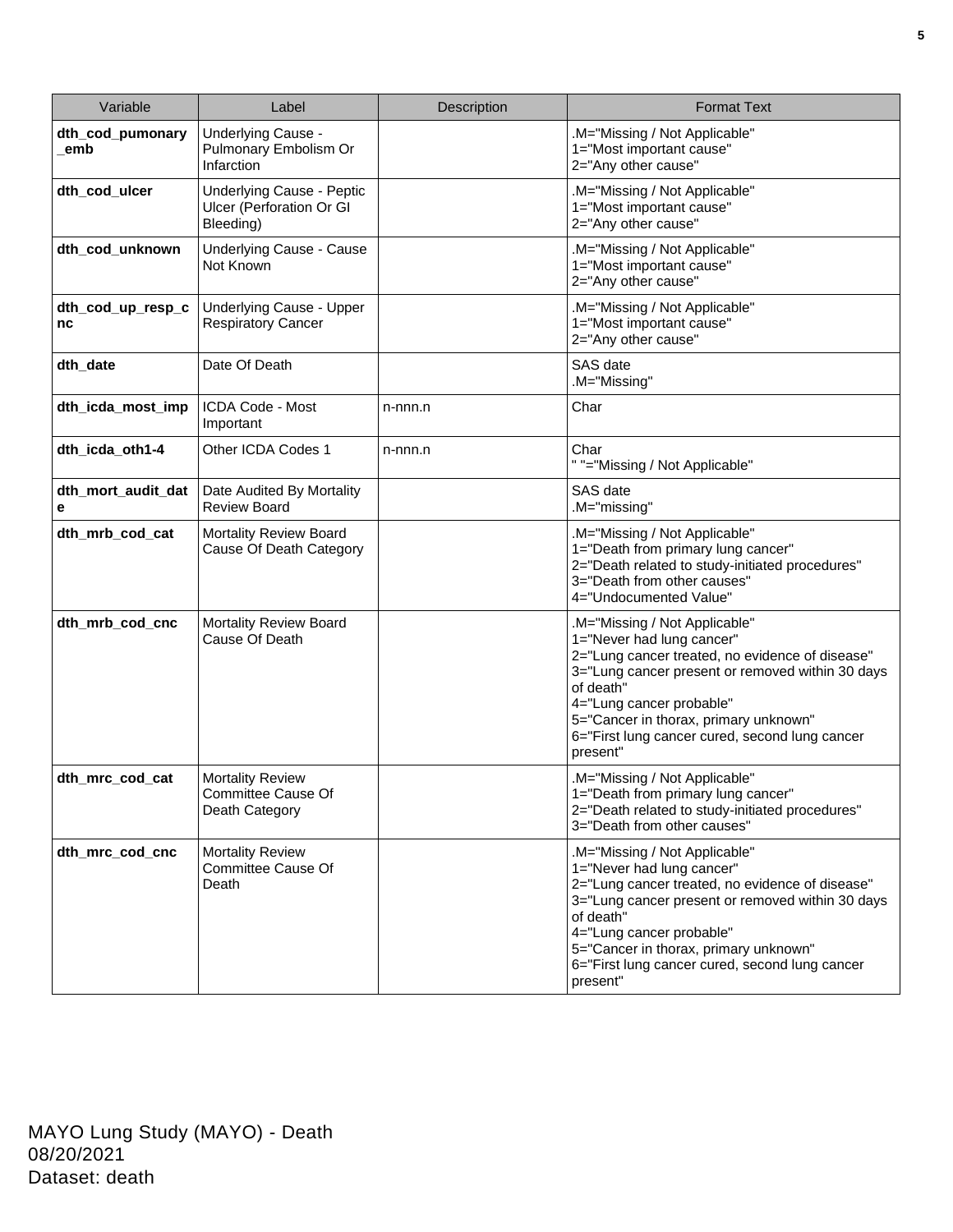| Variable                | Label                                                              | Description | <b>Format Text</b>                                                                                                                                                                                                                                                                                                |
|-------------------------|--------------------------------------------------------------------|-------------|-------------------------------------------------------------------------------------------------------------------------------------------------------------------------------------------------------------------------------------------------------------------------------------------------------------------|
| dth_cod_pumonary<br>emb | Underlying Cause -<br>Pulmonary Embolism Or<br>Infarction          |             | .M="Missing / Not Applicable"<br>1="Most important cause"<br>2="Any other cause"                                                                                                                                                                                                                                  |
| dth_cod_ulcer           | Underlying Cause - Peptic<br>Ulcer (Perforation Or GI<br>Bleeding) |             | .M="Missing / Not Applicable"<br>1="Most important cause"<br>2="Any other cause"                                                                                                                                                                                                                                  |
| dth_cod_unknown         | <b>Underlying Cause - Cause</b><br>Not Known                       |             | .M="Missing / Not Applicable"<br>1="Most important cause"<br>2="Any other cause"                                                                                                                                                                                                                                  |
| dth_cod_up_resp_c<br>nc | <b>Underlying Cause - Upper</b><br><b>Respiratory Cancer</b>       |             | .M="Missing / Not Applicable"<br>1="Most important cause"<br>2="Any other cause"                                                                                                                                                                                                                                  |
| dth_date                | Date Of Death                                                      |             | SAS date<br>.M="Missing"                                                                                                                                                                                                                                                                                          |
| dth_icda_most_imp       | ICDA Code - Most<br>Important                                      | n-nnn.n     | Char                                                                                                                                                                                                                                                                                                              |
| dth_icda_oth1-4         | Other ICDA Codes 1                                                 | n-nnn.n     | Char<br>" "="Missing / Not Applicable"                                                                                                                                                                                                                                                                            |
| dth_mort_audit_dat<br>е | Date Audited By Mortality<br><b>Review Board</b>                   |             | SAS date<br>.M="missing"                                                                                                                                                                                                                                                                                          |
| dth_mrb_cod_cat         | Mortality Review Board<br>Cause Of Death Category                  |             | .M="Missing / Not Applicable"<br>1="Death from primary lung cancer"<br>2="Death related to study-initiated procedures"<br>3="Death from other causes"<br>4="Undocumented Value"                                                                                                                                   |
| dth_mrb_cod_cnc         | <b>Mortality Review Board</b><br>Cause Of Death                    |             | .M="Missing / Not Applicable"<br>1="Never had lung cancer"<br>2="Lung cancer treated, no evidence of disease"<br>3="Lung cancer present or removed within 30 days<br>of death"<br>4="Lung cancer probable"<br>5="Cancer in thorax, primary unknown"<br>6="First lung cancer cured, second lung cancer<br>present" |
| dth_mrc_cod_cat         | <b>Mortality Review</b><br>Committee Cause Of<br>Death Category    |             | .M="Missing / Not Applicable"<br>1="Death from primary lung cancer"<br>2="Death related to study-initiated procedures"<br>3="Death from other causes"                                                                                                                                                             |
| dth_mrc_cod_cnc         | <b>Mortality Review</b><br>Committee Cause Of<br>Death             |             | .M="Missing / Not Applicable"<br>1="Never had lung cancer"<br>2="Lung cancer treated, no evidence of disease"<br>3="Lung cancer present or removed within 30 days<br>of death"<br>4="Lung cancer probable"<br>5="Cancer in thorax, primary unknown"<br>6="First lung cancer cured, second lung cancer<br>present" |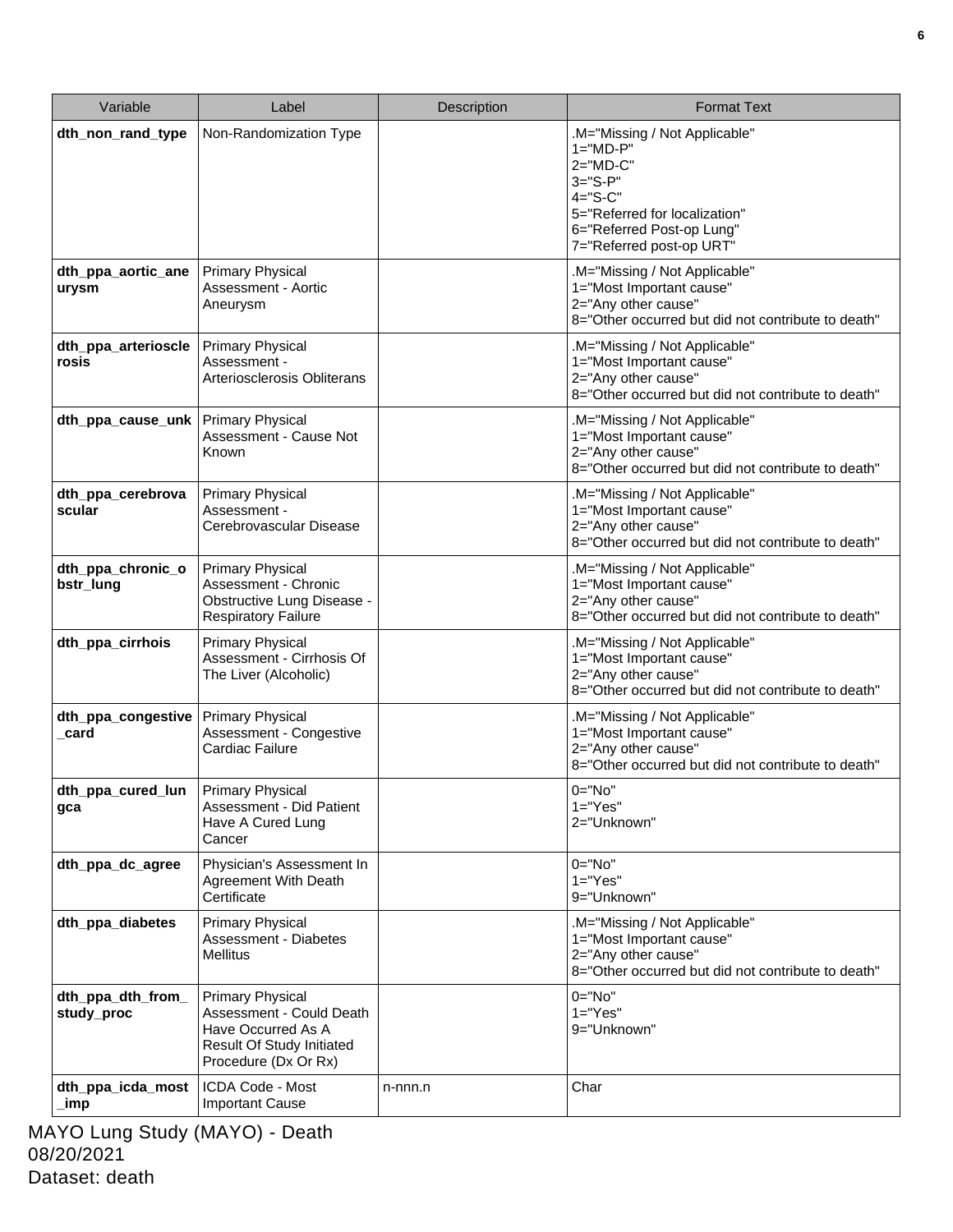| Variable                        | Label                                                                                                                                 | <b>Description</b> | <b>Format Text</b>                                                                                                                                                                    |
|---------------------------------|---------------------------------------------------------------------------------------------------------------------------------------|--------------------|---------------------------------------------------------------------------------------------------------------------------------------------------------------------------------------|
| dth_non_rand_type               | Non-Randomization Type                                                                                                                |                    | .M="Missing / Not Applicable"<br>$1 = "MD-P"$<br>$2="MD-C"$<br>$3 = "S - P"$<br>$4 = "S-C"$<br>5="Referred for localization"<br>6="Referred Post-op Lung"<br>7="Referred post-op URT" |
| dth_ppa_aortic_ane<br>urysm     | <b>Primary Physical</b><br>Assessment - Aortic<br>Aneurysm                                                                            |                    | .M="Missing / Not Applicable"<br>1="Most Important cause"<br>2="Any other cause"<br>8="Other occurred but did not contribute to death"                                                |
| dth_ppa_arterioscle<br>rosis    | <b>Primary Physical</b><br>Assessment -<br>Arteriosclerosis Obliterans                                                                |                    | .M="Missing / Not Applicable"<br>1="Most Important cause"<br>2="Any other cause"<br>8="Other occurred but did not contribute to death"                                                |
| dth_ppa_cause_unk               | <b>Primary Physical</b><br>Assessment - Cause Not<br>Known                                                                            |                    | M="Missing / Not Applicable"<br>1="Most Important cause"<br>2="Any other cause"<br>8="Other occurred but did not contribute to death"                                                 |
| dth_ppa_cerebrova<br>scular     | <b>Primary Physical</b><br>Assessment -<br>Cerebrovascular Disease                                                                    |                    | .M="Missing / Not Applicable"<br>1="Most Important cause"<br>2="Any other cause"<br>8="Other occurred but did not contribute to death"                                                |
| dth_ppa_chronic_o<br>bstr_lung  | <b>Primary Physical</b><br>Assessment - Chronic<br>Obstructive Lung Disease -<br><b>Respiratory Failure</b>                           |                    | .M="Missing / Not Applicable"<br>1="Most Important cause"<br>2="Any other cause"<br>8="Other occurred but did not contribute to death"                                                |
| dth_ppa_cirrhois                | <b>Primary Physical</b><br>Assessment - Cirrhosis Of<br>The Liver (Alcoholic)                                                         |                    | .M="Missing / Not Applicable"<br>1="Most Important cause"<br>2="Any other cause"<br>8="Other occurred but did not contribute to death"                                                |
| dth_ppa_congestive<br>card      | <b>Primary Physical</b><br>Assessment - Congestive<br>Cardiac Failure                                                                 |                    | .M="Missing / Not Applicable"<br>1="Most Important cause"<br>2="Any other cause"<br>8="Other occurred but did not contribute to death"                                                |
| dth_ppa_cured_lun<br>gca        | <b>Primary Physical</b><br>Assessment - Did Patient<br>Have A Cured Lung<br>Cancer                                                    |                    | $0="No"$<br>$1 = "Yes"$<br>2="Unknown"                                                                                                                                                |
| dth_ppa_dc_agree                | Physician's Assessment In<br><b>Agreement With Death</b><br>Certificate                                                               |                    | $0 = "No"$<br>$1 = "Yes"$<br>9="Unknown"                                                                                                                                              |
| dth ppa diabetes                | <b>Primary Physical</b><br>Assessment - Diabetes<br><b>Mellitus</b>                                                                   |                    | .M="Missing / Not Applicable"<br>1="Most Important cause"<br>2="Any other cause"<br>8="Other occurred but did not contribute to death"                                                |
| dth_ppa_dth_from_<br>study_proc | <b>Primary Physical</b><br>Assessment - Could Death<br>Have Occurred As A<br><b>Result Of Study Initiated</b><br>Procedure (Dx Or Rx) |                    | $0 = "No"$<br>$1="Yes"$<br>9="Unknown"                                                                                                                                                |
| dth_ppa_icda_most<br>_imp       | ICDA Code - Most<br><b>Important Cause</b>                                                                                            | n-nnn.n            | Char                                                                                                                                                                                  |

MAYO Lung Study (MAYO) - Death 08/20/2021 Dataset: death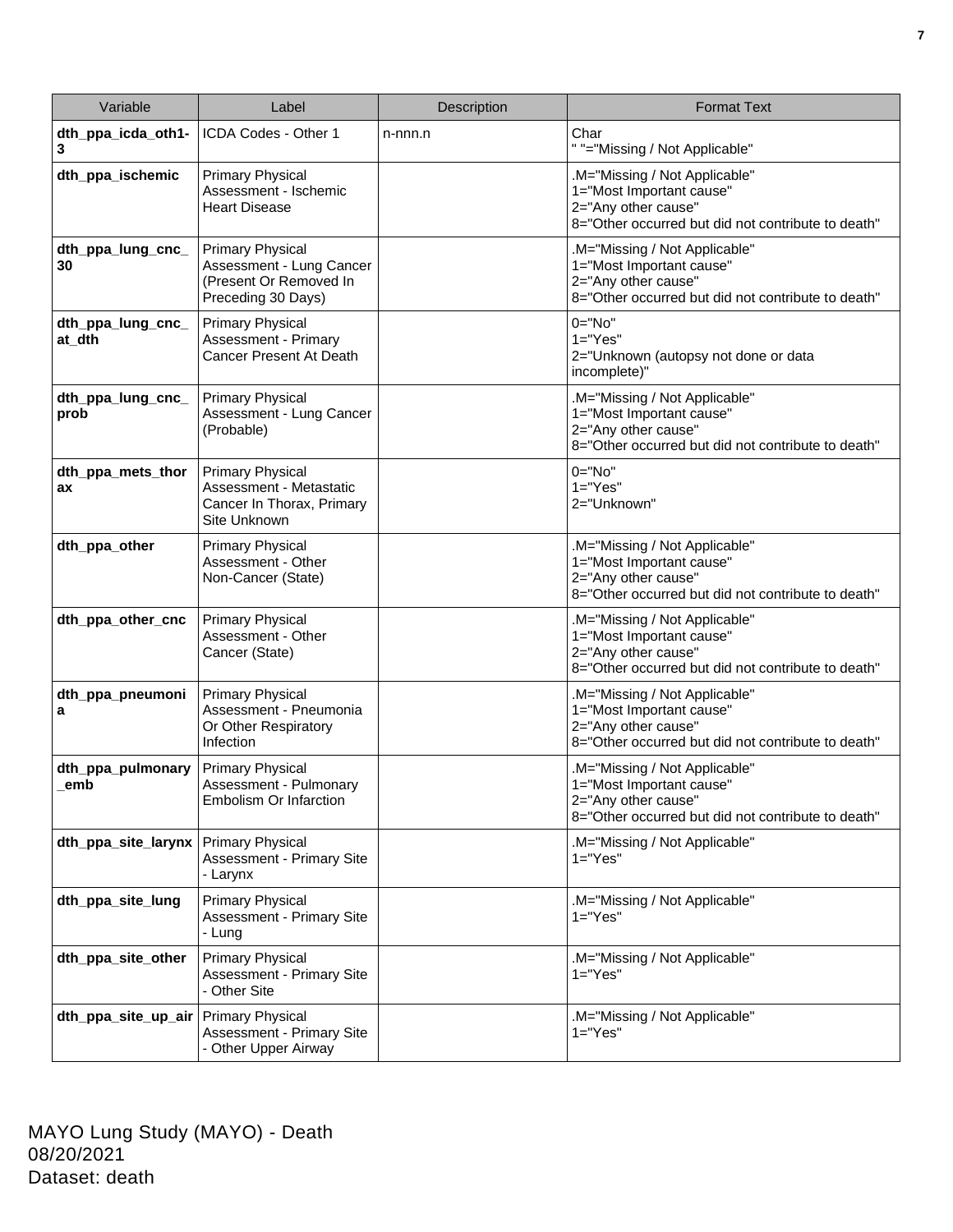| Variable                    | Label                                                                                               | Description | <b>Format Text</b>                                                                                                                     |
|-----------------------------|-----------------------------------------------------------------------------------------------------|-------------|----------------------------------------------------------------------------------------------------------------------------------------|
| dth_ppa_icda_oth1-<br>3     | ICDA Codes - Other 1                                                                                | n-nnn.n     | Char<br>" "="Missing / Not Applicable"                                                                                                 |
| dth_ppa_ischemic            | <b>Primary Physical</b><br>Assessment - Ischemic<br><b>Heart Disease</b>                            |             | .M="Missing / Not Applicable"<br>1="Most Important cause"<br>2="Any other cause"<br>8="Other occurred but did not contribute to death" |
| dth_ppa_lung_cnc_<br>30     | <b>Primary Physical</b><br>Assessment - Lung Cancer<br>(Present Or Removed In<br>Preceding 30 Days) |             | .M="Missing / Not Applicable"<br>1="Most Important cause"<br>2="Any other cause"<br>8="Other occurred but did not contribute to death" |
| dth_ppa_lung_cnc_<br>at_dth | <b>Primary Physical</b><br>Assessment - Primary<br><b>Cancer Present At Death</b>                   |             | $0 = "No"$<br>$1 = "Yes"$<br>2="Unknown (autopsy not done or data<br>incomplete)"                                                      |
| dth_ppa_lung_cnc_<br>prob   | <b>Primary Physical</b><br>Assessment - Lung Cancer<br>(Probable)                                   |             | .M="Missing / Not Applicable"<br>1="Most Important cause"<br>2="Any other cause"<br>8="Other occurred but did not contribute to death" |
| dth_ppa_mets_thor<br>ax     | <b>Primary Physical</b><br>Assessment - Metastatic<br>Cancer In Thorax, Primary<br>Site Unknown     |             | $0 = "No"$<br>$1 = "Yes"$<br>2="Unknown"                                                                                               |
| dth_ppa_other               | <b>Primary Physical</b><br>Assessment - Other<br>Non-Cancer (State)                                 |             | .M="Missing / Not Applicable"<br>1="Most Important cause"<br>2="Any other cause"<br>8="Other occurred but did not contribute to death" |
| dth_ppa_other_cnc           | <b>Primary Physical</b><br>Assessment - Other<br>Cancer (State)                                     |             | .M="Missing / Not Applicable"<br>1="Most Important cause"<br>2="Any other cause"<br>8="Other occurred but did not contribute to death" |
| dth_ppa_pneumoni<br>a       | <b>Primary Physical</b><br>Assessment - Pneumonia<br>Or Other Respiratory<br>Infection              |             | .M="Missing / Not Applicable"<br>1="Most Important cause"<br>2="Any other cause"<br>8="Other occurred but did not contribute to death" |
| dth_ppa_pulmonary<br>emb    | <b>Primary Physical</b><br>Assessment - Pulmonary<br>Embolism Or Infarction                         |             | M="Missing / Not Applicable"<br>1="Most Important cause"<br>2="Any other cause"<br>8="Other occurred but did not contribute to death"  |
| dth_ppa_site_larynx         | <b>Primary Physical</b><br><b>Assessment - Primary Site</b><br>- Larynx                             |             | M="Missing / Not Applicable"<br>$1 = "Yes"$                                                                                            |
| dth_ppa_site_lung           | <b>Primary Physical</b><br><b>Assessment - Primary Site</b><br>- Lung                               |             | .M="Missing / Not Applicable"<br>$1 = "Yes"$                                                                                           |
| dth ppa site other          | <b>Primary Physical</b><br><b>Assessment - Primary Site</b><br>- Other Site                         |             | .M="Missing / Not Applicable"<br>$1 = "Yes"$                                                                                           |
| dth_ppa_site_up_air         | <b>Primary Physical</b><br><b>Assessment - Primary Site</b><br>- Other Upper Airway                 |             | .M="Missing / Not Applicable"<br>$1 = "Yes"$                                                                                           |